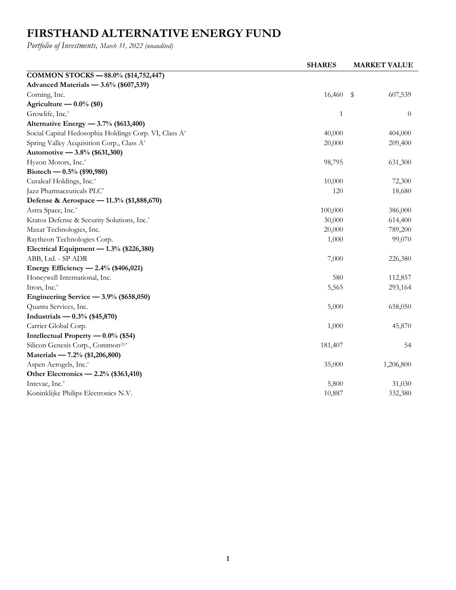## **FIRSTHAND ALTERNATIVE ENERGY FUND**

*Portfolio of Investments, March 31, 2022 (unaudited)*

|                                                       | <b>SHARES</b> | <b>MARKET VALUE</b> |
|-------------------------------------------------------|---------------|---------------------|
| COMMON STOCKS - 88.0% (\$14,752,447)                  |               |                     |
| Advanced Materials — 3.6% (\$607,539)                 |               |                     |
| Corning, Inc.                                         | 16,460        | - \$<br>607,539     |
| Agriculture $-0.0\%$ (\$0)                            |               |                     |
| Growlife, Inc.*                                       | 1             | $\overline{0}$      |
| Alternative Energy - 3.7% (\$613,400)                 |               |                     |
| Social Capital Hedosophia Holdings Corp. VI, Class A* | 40,000        | 404,000             |
| Spring Valley Acquisition Corp., Class A*             | 20,000        | 209,400             |
| Automotive - 3.8% (\$631,300)                         |               |                     |
| Hyzon Motors, Inc.*                                   | 98,795        | 631,300             |
| Biotech — $0.5\%$ (\$90,980)                          |               |                     |
| Curaleaf Holdings, Inc.*                              | 10,000        | 72,300              |
| Jazz Pharmaceuticals PLC*                             | 120           | 18,680              |
| Defense & Aerospace - 11.3% (\$1,888,670)             |               |                     |
| Astra Space, Inc.*                                    | 100,000       | 386,000             |
| Kratos Defense & Security Solutions, Inc.*            | 30,000        | 614,400             |
| Maxar Technologies, Inc.                              | 20,000        | 789,200             |
| Raytheon Technologies Corp.                           | 1,000         | 99,070              |
| Electrical Equipment - 1.3% (\$226,380)               |               |                     |
| ABB, Ltd. - SP ADR                                    | 7,000         | 226,380             |
| Energy Efficiency - 2.4% (\$406,021)                  |               |                     |
| Honeywell International, Inc.                         | 580           | 112,857             |
| Itron, Inc.*                                          | 5,565         | 293,164             |
| Engineering Service $-3.9\%$ (\$658,050)              |               |                     |
| Quanta Services, Inc.                                 | 5,000         | 658,050             |
| Industrials — $0.3\%$ (\$45,870)                      |               |                     |
| Carrier Global Corp.                                  | 1,000         | 45,870              |
| Intellectual Property $-0.0\%$ (\$54)                 |               |                     |
| Silicon Genesis Corp., Common(1)*                     | 181,407       | 54                  |
| Materials - 7.2% (\$1,206,800)                        |               |                     |
| Aspen Aerogels, Inc.*                                 | 35,000        | 1,206,800           |
| Other Electronics — 2.2% (\$363,410)                  |               |                     |
| Intevac, Inc.*                                        | 5,800         | 31,030              |
| Koninklijke Philips Electronics N.V.                  | 10,887        | 332,380             |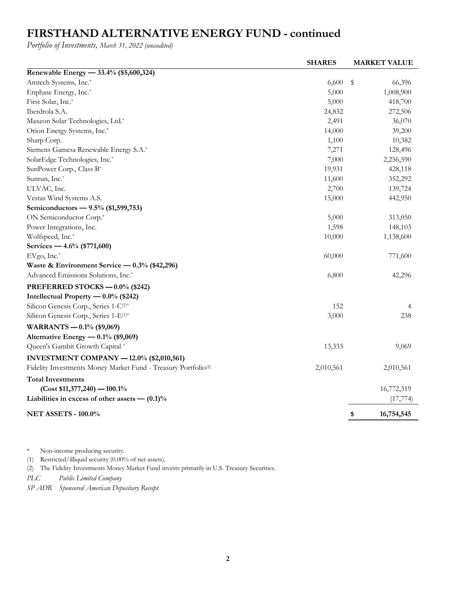## **FIRSTHAND ALTERNATIVE ENERGY FUND - continued**

*Portfolio of Investments, March 31, 2022 (unaudited)*

|                                                                            | <b>SHARES</b> | <b>MARKET VALUE</b> |
|----------------------------------------------------------------------------|---------------|---------------------|
| Renewable Energy - 33.4% (\$5,600,324)                                     |               |                     |
| Amtech Systems, Inc.*                                                      | 6,600         | \$<br>66,396        |
| Enphase Energy, Inc.*                                                      | 5,000         | 1,008,900           |
| First Solar, Inc.*                                                         | 5,000         | 418,700             |
| Iberdrola S.A.                                                             | 24,832        | 272,506             |
| Maxeon Solar Technologies, Ltd.*                                           | 2,491         | 36,070              |
| Orion Energy Systems, Inc.*                                                | 14,000        | 39,200              |
| Sharp Corp.                                                                | 1,100         | 10,382              |
| Siemens Gamesa Renewable Energy S.A.*                                      | 7,271         | 128,496             |
| SolarEdge Technologies, Inc.*                                              | 7,000         | 2,256,590           |
| SunPower Corp., Class B*                                                   | 19,931        | 428,118             |
| Sunrun, Inc.*                                                              | 11,600        | 352,292             |
| ULVAC, Inc.                                                                | 2,700         | 139,724             |
| Vestas Wind Systems A.S.                                                   | 15,000        | 442,950             |
| Semiconductors - 9.5% (\$1,599,753)                                        |               |                     |
| ON Semiconductor Corp. <sup>*</sup>                                        | 5,000         | 313,050             |
| Power Integrations, Inc.                                                   | 1,598         | 148,103             |
| Wolfspeed, Inc.*                                                           | 10,000        | 1,138,600           |
| Services — 4.6% (\$771,600)                                                |               |                     |
| EVgo, Inc.*                                                                | 60,000        | 771,600             |
| Waste & Environment Service — $0.3\%$ (\$42,296)                           |               |                     |
| Advanced Emissions Solutions, Inc.*                                        | 6,800         | 42,296              |
| PREFERRED STOCKS - 0.0% (\$242)                                            |               |                     |
| Intellectual Property - 0.0% (\$242)                                       |               |                     |
| Silicon Genesis Corp., Series 1-C(1)*                                      | 152           | 4                   |
| Silicon Genesis Corp., Series 1-E <sup>(1)*</sup>                          | 3,000         | 238                 |
| WARRANTS $-0.1\%$ (\$9,069)                                                |               |                     |
| Alternative Energy - 0.1% (\$9,069)                                        |               |                     |
| Queen's Gambit Growth Capital*                                             | 13,333        | 9,069               |
| <b>INVESTMENT COMPANY - 12.0% (\$2,010,561)</b>                            |               |                     |
| Fidelity Investments Money Market Fund - Treasury Portfolio <sup>(2)</sup> | 2,010,561     | 2,010,561           |
| <b>Total Investments</b>                                                   |               |                     |
| $(Cost $11,377,240) - 100.1\%$                                             |               | 16,772,319          |
| Liabilities in excess of other assets $- (0.1)$ %                          |               | (17, 774)           |
|                                                                            |               |                     |
| <b>NET ASSETS - 100.0%</b>                                                 |               | 16,754,545<br>\$    |

\* Non-income producing security.

(1) Restricted/illiquid security (0.00% of net assets).

(2) The Fidelity Investments Money Market Fund invests primarily in U.S. Treasury Securities.

*PLC Public Limited Company*

*SP ADR Sponsored American Depositary Receipt*